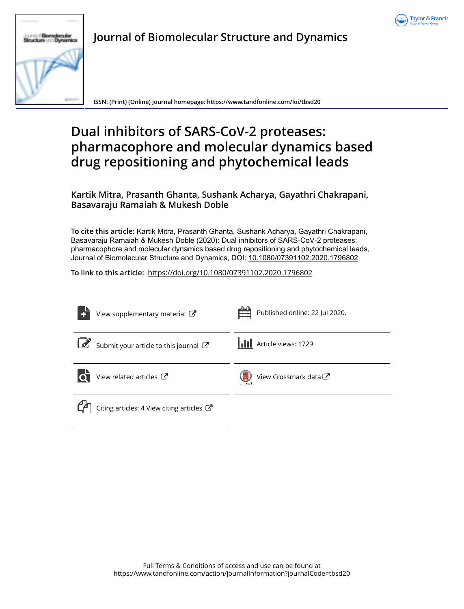



**Journal of Biomolecular Structure and Dynamics**

**ISSN: (Print) (Online) Journal homepage: https://www.tandfonline.com/loi/tbsd20**

# **Dual inhibitors of SARS-CoV-2 proteases: pharmacophore and molecular dynamics based drug repositioning and phytochemical leads**

**Kartik Mitra, Prasanth Ghanta, Sushank Acharya, Gayathri Chakrapani, Basavaraju Ramaiah & Mukesh Doble**

**To cite this article:** Kartik Mitra, Prasanth Ghanta, Sushank Acharya, Gayathri Chakrapani, Basavaraju Ramaiah & Mukesh Doble (2020): Dual inhibitors of SARS-CoV-2 proteases: pharmacophore and molecular dynamics based drug repositioning and phytochemical leads, Journal of Biomolecular Structure and Dynamics, DOI: 10.1080/07391102.2020.1796802

**To link to this article:** https://doi.org/10.1080/07391102.2020.1796802

|               | View supplementary material C                                  | Published online: 22 Jul 2020.<br><b>Hill</b> |
|---------------|----------------------------------------------------------------|-----------------------------------------------|
| $\mathcal{L}$ | Submit your article to this journal                            | <b>II</b> Article views: 1729                 |
|               | View related articles C                                        | View Crossmark data<br>Carrollade             |
|               | Citing articles: 4 View citing articles $\mathbb{Z}^{\bullet}$ |                                               |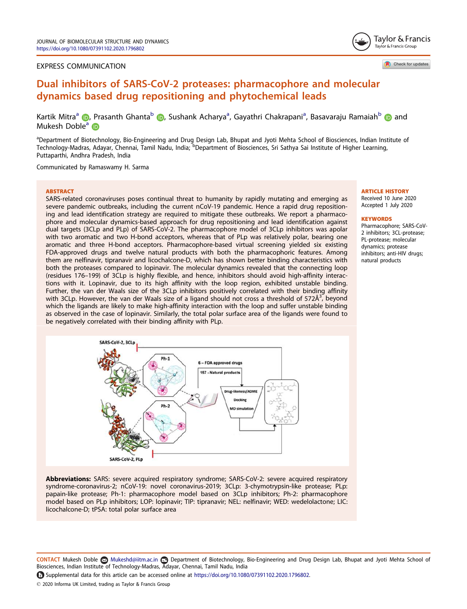# EXPRESS COMMUNICATION

Tavlor & Francis Taylor & Francis Group

Check for updates

# Dual inhibitors of SARS-CoV-2 proteases: pharmacophore and molecular dynamics based drug repositioning and phytochemical leads

Kartik Mitra<sup>a</sup> (D, Prasanth Ghanta<sup>b</sup> (D, Sushank Acharya<sup>a</sup>, Gayathri Chakrapani<sup>a</sup>, Basavaraju Ramaiah<sup>b</sup> (D and Mukesh Doble<sup>a</sup> iD

aDepartment of Biotechnology, Bio-Engineering and Drug Design Lab, Bhupat and Jyoti Mehta School of Biosciences, Indian Institute of Technology-Madras, Adayar, Chennai, Tamil Nadu, India; <sup>b</sup>Department of Biosciences, Sri Sathya Sai Institute of Higher Learning, Puttaparthi, Andhra Pradesh, India

Communicated by Ramaswamy H. Sarma

#### **ARSTRACT**

SARS-related coronaviruses poses continual threat to humanity by rapidly mutating and emerging as severe pandemic outbreaks, including the current nCoV-19 pandemic. Hence a rapid drug repositioning and lead identification strategy are required to mitigate these outbreaks. We report a pharmacophore and molecular dynamics-based approach for drug repositioning and lead identification against dual targets (3CLp and PLp) of SARS-CoV-2. The pharmacophore model of 3CLp inhibitors was apolar with two aromatic and two H-bond acceptors, whereas that of PLp was relatively polar, bearing one aromatic and three H-bond acceptors. Pharmacophore-based virtual screening yielded six existing FDA-approved drugs and twelve natural products with both the pharmacophoric features. Among them are nelfinavir, tipranavir and licochalcone-D, which has shown better binding characteristics with both the proteases compared to lopinavir. The molecular dynamics revealed that the connecting loop (residues 176–199) of 3CLp is highly flexible, and hence, inhibitors should avoid high-affinity interactions with it. Lopinavir, due to its high affinity with the loop region, exhibited unstable binding. Further, the van der Waals size of the 3CLp inhibitors positively correlated with their binding affinity with 3CLp. However, the van der Waals size of a ligand should not cross a threshold of 572Å<sup>3</sup>, beyond which the ligands are likely to make high-affinity interaction with the loop and suffer unstable binding as observed in the case of lopinavir. Similarly, the total polar surface area of the ligands were found to be negatively correlated with their binding affinity with PLp.

# ARTICLE HISTORY

Received 10 June 2020 Accepted 1 July 2020

#### **KEYWORDS**

Pharmacophore; SARS-CoV-2 inhibitors; 3CL-protease; PL-protease; molecular dynamics; protease inhibitors; anti-HIV drugs; natural products



Abbreviations: SARS: severe acquired respiratory syndrome; SARS-CoV-2: severe acquired respiratory syndrome-coronavirus-2; nCoV-19: novel coronavirus-2019; 3CLp: 3-chymotrypsin-like protease; PLp: papain-like protease; Ph-1: pharmacophore model based on 3CLp inhibitors; Ph-2: pharmacophore model based on PLp inhibitors; LOP: lopinavir; TIP: tipranavir; NEL: nelfinavir; WED: wedelolactone; LIC: licochalcone-D; tPSA: total polar surface area

CONTACT Mukesh Doble & Mukeshd@iitm.ac.in @ Department of Biotechnology, Bio-Engineering and Drug Design Lab, Bhupat and Jyoti Mehta School of Biosciences, Indian Institute of Technology-Madras, Adayar, Chennai, Tamil Nadu, India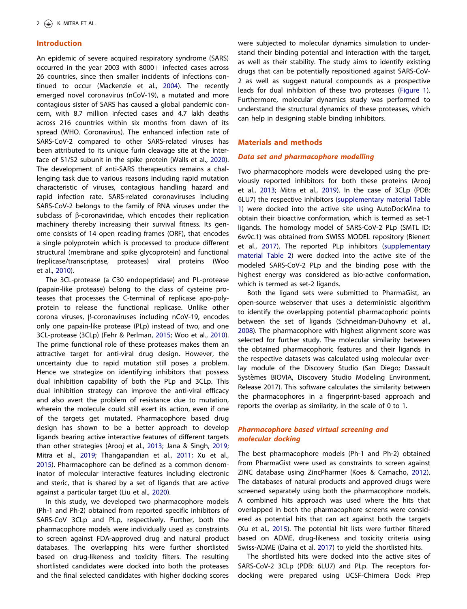# Introduction

An epidemic of severe acquired respiratory syndrome (SARS) occurred in the year 2003 with  $8000+$  infected cases across 26 countries, since then smaller incidents of infections continued to occur (Mackenzie et al., 2004). The recently emerged novel coronavirus (nCoV-19), a mutated and more contagious sister of SARS has caused a global pandemic concern, with 8.7 million infected cases and 4.7 lakh deaths across 216 countries within six months from dawn of its spread (WHO. Coronavirus). The enhanced infection rate of SARS-CoV-2 compared to other SARS-related viruses has been attributed to its unique furin cleavage site at the interface of S1/S2 subunit in the spike protein (Walls et al., 2020). The development of anti-SARS therapeutics remains a challenging task due to various reasons including rapid mutation characteristic of viruses, contagious handling hazard and rapid infection rate. SARS-related coronaviruses including SARS-CoV-2 belongs to the family of RNA viruses under the subclass of  $\beta$ -coronaviridae, which encodes their replication machinery thereby increasing their survival fitness. Its genome consists of 14 open reading frames (ORF), that encodes a single polyprotein which is processed to produce different structural (membrane and spike glycoprotein) and functional (replicase/transcriptase, proteases) viral proteins (Woo et al., 2010).

The 3CL-protease (a C30 endopeptidase) and PL-protease (papain-like protease) belong to the class of cysteine proteases that processes the C-terminal of replicase apo-polyprotein to release the functional replicase. Unlike other corona viruses, b-coronaviruses including nCoV-19, encodes only one papain-like protease (PLp) instead of two, and one 3CL-protease (3CLp) (Fehr & Perlman, 2015; Woo et al., 2010). The prime functional role of these proteases makes them an attractive target for anti-viral drug design. However, the uncertainty due to rapid mutation still poses a problem. Hence we strategize on identifying inhibitors that possess dual inhibition capability of both the PLp and 3CLp. This dual inhibition strategy can improve the anti-viral efficacy and also avert the problem of resistance due to mutation, wherein the molecule could still exert its action, even if one of the targets get mutated. Pharmacophore based drug design has shown to be a better approach to develop ligands bearing active interactive features of different targets than other strategies (Arooj et al., 2013; Jana & Singh, 2019; Mitra et al., 2019; Thangapandian et al., 2011; Xu et al., 2015). Pharmacophore can be defined as a common denominator of molecular interactive features including electronic and steric, that is shared by a set of ligands that are active against a particular target (Liu et al., 2020).

In this study, we developed two pharmacophore models (Ph-1 and Ph-2) obtained from reported specific inhibitors of SARS-CoV 3CLp and PLp, respectively. Further, both the pharmacophore models were individually used as constraints to screen against FDA-approved drug and natural product databases. The overlapping hits were further shortlisted based on drug-likeness and toxicity filters. The resulting shortlisted candidates were docked into both the proteases and the final selected candidates with higher docking scores were subjected to molecular dynamics simulation to understand their binding potential and interaction with the target, as well as their stability. The study aims to identify existing drugs that can be potentially repositioned against SARS-CoV-2 as well as suggest natural compounds as a prospective leads for dual inhibition of these two proteases (Figure 1). Furthermore, molecular dynamics study was performed to understand the structural dynamics of these proteases, which can help in designing stable binding inhibitors.

# Materials and methods

# Data set and pharmacophore modelling

Two pharmacophore models were developed using the previously reported inhibitors for both these proteins (Arooj et al., 2013; Mitra et al., 2019). In the case of 3CLp (PDB: 6LU7) the respective inhibitors (supplementary material Table 1) were docked into the active site using AutoDockVina to obtain their bioactive conformation, which is termed as set-1 ligands. The homology model of SARS-CoV-2 PLp (SMTL ID: 6w9c.1) was obtained from SWISS MODEL repository (Bienert et al., 2017). The reported PLp inhibitors (supplementary material Table 2) were docked into the active site of the modeled SARS-CoV-2 PLp and the binding pose with the highest energy was considered as bio-active conformation, which is termed as set-2 ligands.

Both the ligand sets were submitted to PharmaGist, an open-source webserver that uses a deterministic algorithm to identify the overlapping potential pharmacophoric points between the set of ligands (Schneidman-Duhovny et al., 2008). The pharmacophore with highest alignment score was selected for further study. The molecular similarity between the obtained pharmacophoric features and their ligands in the respective datasets was calculated using molecular overlay module of the Discovery Studio (San Diego; Dassault Systèmes BIOVIA, Discovery Studio Modeling Environment, Release 2017). This software calculates the similarity between the pharmacophores in a fingerprint-based approach and reports the overlap as similarity, in the scale of 0 to 1.

# Pharmacophore based virtual screening and molecular docking

The best pharmacophore models (Ph-1 and Ph-2) obtained from PharmaGist were used as constraints to screen against ZINC database using ZincPharmer (Koes & Camacho, 2012). The databases of natural products and approved drugs were screened separately using both the pharmacophore models. A combined hits approach was used where the hits that overlapped in both the pharmacophore screens were considered as potential hits that can act against both the targets (Xu et al., 2015). The potential hit lists were further filtered based on ADME, drug-likeness and toxicity criteria using Swiss-ADME (Daina et al. 2017) to yield the shortlisted hits.

The shortlisted hits were docked into the active sites of SARS-CoV-2 3CLp (PDB: 6LU7) and PLp. The receptors fordocking were prepared using UCSF-Chimera Dock Prep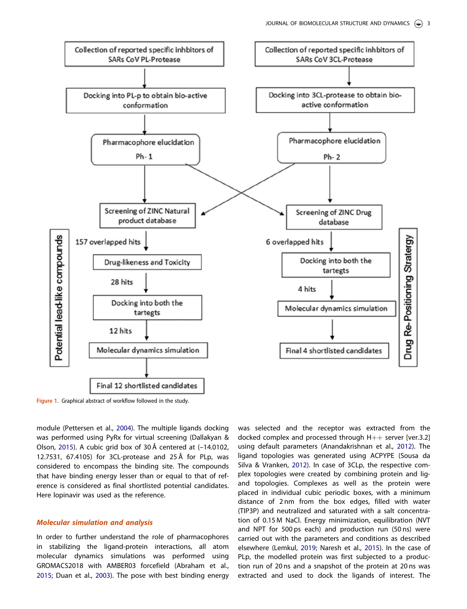

Figure 1. Graphical abstract of workflow followed in the study.

module (Pettersen et al., 2004). The multiple ligands docking was performed using PyRx for virtual screening (Dallakyan & Olson, 2015). A cubic grid box of 30 Å centered at (–14.0102, 12.7531, 67.4105) for 3CL-protease and 25 Å for PLp, was considered to encompass the binding site. The compounds that have binding energy lesser than or equal to that of reference is considered as final shortlisted potential candidates. Here lopinavir was used as the reference.

# Molecular simulation and analysis

In order to further understand the role of pharmacophores in stabilizing the ligand-protein interactions, all atom molecular dynamics simulations was performed using GROMACS2018 with AMBER03 forcefield (Abraham et al., 2015; Duan et al., 2003). The pose with best binding energy was selected and the receptor was extracted from the docked complex and processed through  $H++$  server [ver.3.2] using default parameters (Anandakrishnan et al., 2012). The ligand topologies was generated using ACPYPE (Sousa da Silva & Vranken, 2012). In case of 3CLp, the respective complex topologies were created by combining protein and ligand topologies. Complexes as well as the protein were placed in individual cubic periodic boxes, with a minimum distance of 2 nm from the box edges, filled with water (TIP3P) and neutralized and saturated with a salt concentration of 0.15 M NaCl. Energy minimization, equilibration (NVT and NPT for 500 ps each) and production run (50 ns) were carried out with the parameters and conditions as described elsewhere (Lemkul, 2019; Naresh et al., 2015). In the case of PLp, the modelled protein was first subjected to a production run of 20 ns and a snapshot of the protein at 20 ns was extracted and used to dock the ligands of interest. The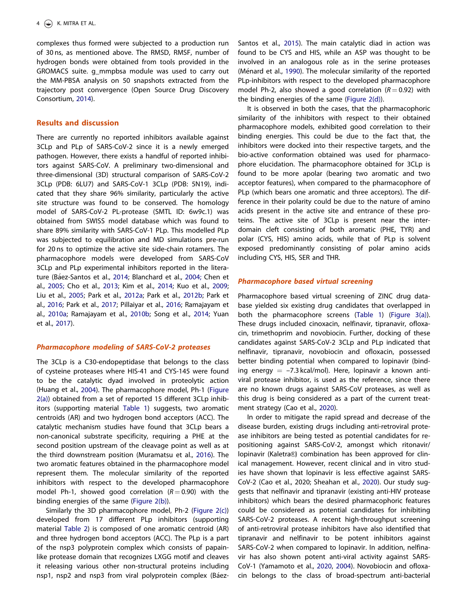complexes thus formed were subjected to a production run of 30 ns, as mentioned above. The RMSD, RMSF, number of hydrogen bonds were obtained from tools provided in the GROMACS suite. g\_mmpbsa module was used to carry out the MM-PBSA analysis on 50 snapshots extracted from the trajectory post convergence (Open Source Drug Discovery Consortium, 2014).

#### Results and discussion

There are currently no reported inhibitors available against 3CLp and PLp of SARS-CoV-2 since it is a newly emerged pathogen. However, there exists a handful of reported inhibitors against SARS-CoV. A preliminary two-dimensional and three-dimensional (3D) structural comparison of SARS-CoV-2 3CLp (PDB: 6LU7) and SARS-CoV-1 3CLp (PDB: 5N19), indicated that they share 96% similarity, particularly the active site structure was found to be conserved. The homology model of SARS-CoV-2 PL-protease (SMTL ID: 6w9c.1) was obtained from SWISS model database which was found to share 89% similarity with SARS-CoV-1 PLp. This modelled PLp was subjected to equilibration and MD simulations pre-run for 20 ns to optimize the active site side-chain rotamers. The pharmacophore models were developed from SARS-CoV 3CLp and PLp experimental inhibitors reported in the literature (Báez-Santos et al., 2014; Blanchard et al., 2004; Chen et al., 2005; Cho et al., 2013; Kim et al., 2014; Kuo et al., 2009; Liu et al., 2005; Park et al., 2012a; Park et al., 2012b; Park et al., 2016; Park et al., 2017; Pillaiyar et al., 2016; Ramajayam et al., 2010a; Ramajayam et al., 2010b; Song et al., 2014; Yuan et al., 2017).

# Pharmacophore modeling of SARS-CoV-2 proteases

The 3CLp is a C30-endopeptidase that belongs to the class of cysteine proteases where HIS-41 and CYS-145 were found to be the catalytic dyad involved in proteolytic action (Huang et al., 2004). The pharmacophore model, Ph-1 (Figure 2(a)) obtained from a set of reported 15 different 3CLp inhibitors (supporting material Table 1) suggests, two aromatic centroids (AR) and two hydrogen bond acceptors (ACC). The catalytic mechanism studies have found that 3CLp bears a non-canonical substrate specificity, requiring a PHE at the second position upstream of the cleavage point as well as at the third downstream position (Muramatsu et al., 2016). The two aromatic features obtained in the pharmacophore model represent them. The molecular similarity of the reported inhibitors with respect to the developed pharmacophore model Ph-1, showed good correlation  $(R = 0.90)$  with the binding energies of the same (Figure 2(b)).

Similarly the 3D pharmacophore model, Ph-2 (Figure 2(c)) developed from 17 different PLp inhibitors (supporting material Table 2) is composed of one aromatic centroid (AR) and three hydrogen bond acceptors (ACC). The PLp is a part of the nsp3 polyprotein complex which consists of papainlike protease domain that recognizes LXGG motif and cleaves it releasing various other non-structural proteins including nsp1, nsp2 and nsp3 from viral polyprotein complex (BáezSantos et al., 2015). The main catalytic diad in action was found to be CYS and HIS, while an ASP was thought to be involved in an analogous role as in the serine proteases (Ménard et al., 1990). The molecular similarity of the reported PLp-inhibitors with respect to the developed pharmacophore model Ph-2, also showed a good correlation  $(R = 0.92)$  with the binding energies of the same (Figure 2(d)).

It is observed in both the cases, that the pharmacophoric similarity of the inhibitors with respect to their obtained pharmacophore models, exhibited good correlation to their binding energies. This could be due to the fact that, the inhibitors were docked into their respective targets, and the bio-active conformation obtained was used for pharmacophore elucidation. The pharmacophore obtained for 3CLp is found to be more apolar (bearing two aromatic and two acceptor features), when compared to the pharmacophore of PLp (which bears one aromatic and three acceptors). The difference in their polarity could be due to the nature of amino acids present in the active site and entrance of these proteins. The active site of 3CLp is present near the interdomain cleft consisting of both aromatic (PHE, TYR) and polar (CYS, HIS) amino acids, while that of PLp is solvent exposed predominantly consisting of polar amino acids including CYS, HIS, SER and THR.

# Pharmacophore based virtual screening

Pharmacophore based virtual screening of ZINC drug database yielded six existing drug candidates that overlapped in both the pharmacophore screens (Table 1) (Figure 3(a)). These drugs included cinoxacin, nelfinavir, tipranavir, ofloxacin, trimethoprim and novobiocin. Further, docking of these candidates against SARS-CoV-2 3CLp and PLp indicated that nelfinavir, tipranavir, novobiocin and ofloxacin, possessed better binding potential when compared to lopinavir (binding energy  $= -7.3$  kcal/mol). Here, lopinavir a known antiviral protease inhibitor, is used as the reference, since there are no known drugs against SARS-CoV proteases, as well as this drug is being considered as a part of the current treatment strategy (Cao et al., 2020).

In order to mitigate the rapid spread and decrease of the disease burden, existing drugs including anti-retroviral protease inhibitors are being tested as potential candidates for repositioning against SARS-CoV-2, amongst which ritonavir/ lopinavir (Kaletra®) combination has been approved for clinical management. However, recent clinical and in vitro studies have shown that lopinavir is less effective against SARS-CoV-2 (Cao et al., 2020; Sheahan et al., 2020). Our study suggests that nelfinavir and tipranavir (existing anti-HIV protease inhibitors) which bears the desired pharmacophoric features could be considered as potential candidates for inhibiting SARS-CoV-2 proteases. A recent high-throughput screening of anti-retroviral protease inhibitors have also identified that tipranavir and nelfinavir to be potent inhibitors against SARS-CoV-2 when compared to lopinavir. In addition, nelfinavir has also shown potent anti-viral activity against SARS-CoV-1 (Yamamoto et al., 2020, 2004). Novobiocin and ofloxacin belongs to the class of broad-spectrum anti-bacterial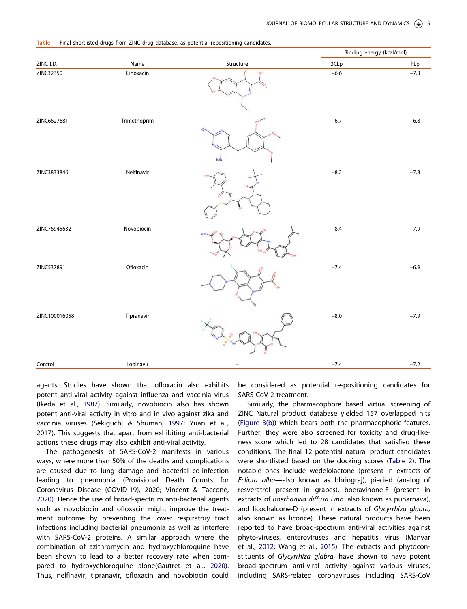|               |              |                 |        | Binding energy (kcal/mol) |  |
|---------------|--------------|-----------------|--------|---------------------------|--|
| ZINC I.D.     | Name         | Structure       | 3CLp   | PLp                       |  |
| ZINC32350     | Cinoxacin    |                 | $-6.6$ | $-7.3$                    |  |
| ZINC6627681   | Trimethoprim | H <sub>2N</sub> | $-6.7$ | $-6.8$                    |  |
| ZINC3833846   | Nelfinavir   |                 | $-8.2$ | $-7.8$                    |  |
| ZINC76945632  | Novobiocin   |                 | $-8.4$ | $-7.9$                    |  |
| ZINC537891    | Ofloxacin    |                 | $-7.4$ | $-6.9$                    |  |
| ZINC100016058 | Tipranavir   |                 | $-8.0$ | $-7.9$                    |  |
| Control       | Lopinavir    |                 | $-7.4$ | $-7.2$                    |  |

Table 1. Final shortlisted drugs from ZINC drug database, as potential repositioning candidates.

agents. Studies have shown that ofloxacin also exhibits potent anti-viral activity against influenza and vaccinia virus (Ikeda et al., 1987). Similarly, novobiocin also has shown potent anti-viral activity in vitro and in vivo against zika and vaccinia viruses (Sekiguchi & Shuman, 1997; Yuan et al., 2017). This suggests that apart from exhibiting anti-bacterial actions these drugs may also exhibit anti-viral activity.

The pathogenesis of SARS-CoV-2 manifests in various ways, where more than 50% of the deaths and complications are caused due to lung damage and bacterial co-infection leading to pneumonia (Provisional Death Counts for Coronavirus Disease (COVID-19), 2020; Vincent & Taccone, 2020). Hence the use of broad-spectrum anti-bacterial agents such as novobiocin and ofloxacin might improve the treatment outcome by preventing the lower respiratory tract infections including bacterial pneumonia as well as interfere with SARS-CoV-2 proteins. A similar approach where the combination of azithromycin and hydroxychloroquine have been shown to lead to a better recovery rate when compared to hydroxychloroquine alone(Gautret et al., 2020). Thus, nelfinavir, tipranavir, ofloxacin and novobiocin could be considered as potential re-positioning candidates for SARS-CoV-2 treatment.

Similarly, the pharmacophore based virtual screening of ZINC Natural product database yielded 157 overlapped hits (Figure 3(b)) which bears both the pharmacophoric features. Further, they were also screened for toxicity and drug-likeness score which led to 28 candidates that satisfied these conditions. The final 12 potential natural product candidates were shortlisted based on the docking scores (Table 2). The notable ones include wedelolactone (present in extracts of *Eclipta alba*—also known as bhringraj), piecied (analog of resveratrol present in grapes), boeravinone-F (present in extracts of *Boerhaavia diffusa Linn.* also known as punarnava), and licochalcone-D (present in extracts of *Glycyrrhiza glabra,* also known as licorice). These natural products have been reported to have broad-spectrum anti-viral activities against phyto-viruses, enteroviruses and hepatitis virus (Manvar et al., 2012; Wang et al., 2015). The extracts and phytoconstituents of *Glycyrrhiza glabra,* have shown to have potent broad-spectrum anti-viral activity against various viruses, including SARS-related coronaviruses including SARS-CoV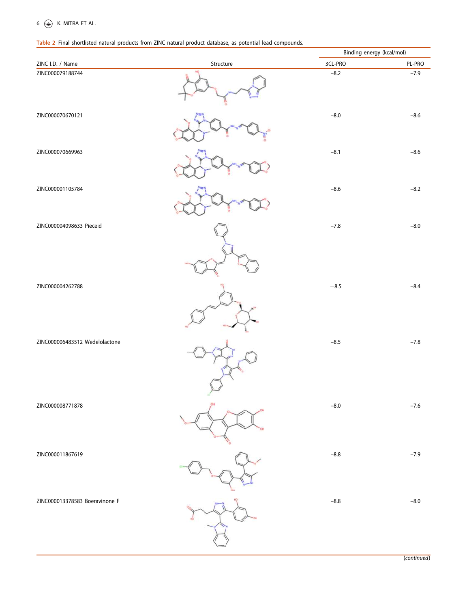# Table 2 Final shortlisted natural products from ZINC natural product database, as potential lead compounds.

|                                |           | Binding energy (kcal/mol) |                            |
|--------------------------------|-----------|---------------------------|----------------------------|
| ZINC I.D. / Name               | Structure | 3CL-PRO                   | PL-PRO                     |
| ZINC000079188744               |           | $-8.2$                    | $-7.9$                     |
| ZINC000070670121               |           | $-8.0$                    | $-8.6$                     |
| ZINC000070669963               |           | $-8.1$                    | $-8.6$                     |
| ZINC000001105784               |           | $-8.6$                    | $-8.2$                     |
| ZINC000004098633 Pieceid       |           | $-7.8$                    | $-8.0$                     |
| ZINC000004262788               |           | $-8.5$                    | $-8.4$                     |
| ZINC000006483512 Wedelolactone |           | $-8.5$                    | $-7.8$                     |
| ZINC000008771878               |           | $-8.0$                    | $-7.6$                     |
| ZINC000011867619               |           | $-8.8$                    | $-7.9$                     |
| ZINC000013378583 Boeravinone F |           | $-8.8$                    | $-8.0$<br><i>continued</i> |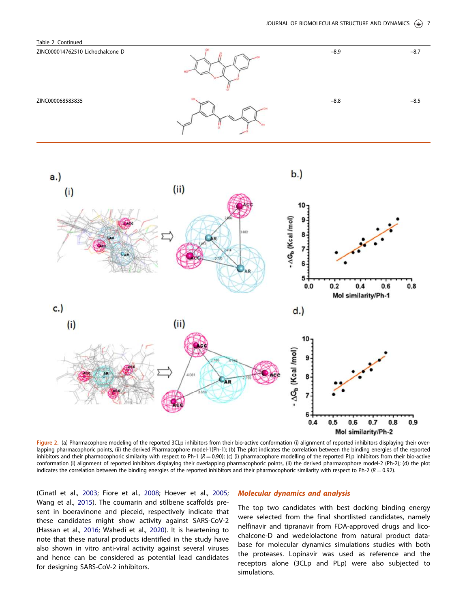



Figure 2. (a) Pharmacophore modeling of the reported 3CLp inhibitors from their bio-active conformation (i) alignment of reported inhibitors displaying their overlapping pharmacophoric points, (ii) the derived Pharmacophore model-1(Ph-1); (b) The plot indicates the correlation between the binding energies of the reported inhibitors and their pharmocophoric similarity with respect to Ph-1  $(R = 0.90)$ ; (c) (i) pharmacophore modelling of the reported PLp inhibitors from their bio-active conformation (i) alignment of reported inhibitors displaying their overlapping pharmacophoric points, (ii) the derived pharmacophore model-2 (Ph-2); (d) the plot indicates the correlation between the binding energies of the reported inhibitors and their pharmocophoric similarity with respect to Ph-2 ( $R = 0.92$ ).

(Cinatl et al., 2003; Fiore et al., 2008; Hoever et al., 2005; Wang et al., 2015). The coumarin and stilbene scaffolds present in boeravinone and pieceid, respectively indicate that these candidates might show activity against SARS-CoV-2 (Hassan et al., 2016; Wahedi et al., 2020). It is heartening to note that these natural products identified in the study have also shown in vitro anti-viral activity against several viruses and hence can be considered as potential lead candidates for designing SARS-CoV-2 inhibitors.

## Molecular dynamics and analysis

The top two candidates with best docking binding energy were selected from the final shortlisted candidates, namely nelfinavir and tipranavir from FDA-approved drugs and licochalcone-D and wedelolactone from natural product database for molecular dynamics simulations studies with both the proteases. Lopinavir was used as reference and the receptors alone (3CLp and PLp) were also subjected to simulations.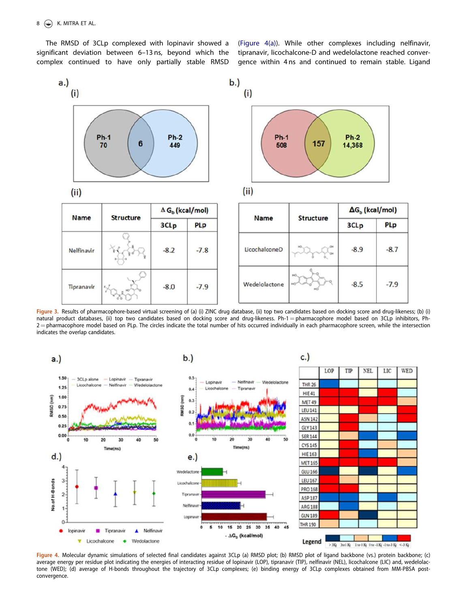The RMSD of 3CLp complexed with lopinavir showed a significant deviation between 6–13 ns, beyond which the complex continued to have only partially stable RMSD

(Figure 4(a)). While other complexes including nelfinavir, tipranavir, licochalcone-D and wedelolactone reached convergence within 4 ns and continued to remain stable. Ligand



Figure 3. Results of pharmacophore-based virtual screening of (a) (i) ZINC drug database, (ii) top two candidates based on docking score and drug-likeness; (b) (i) natural product databases, (ii) top two candidates based on docking score and drug-likeness. Ph-1 = pharmacophore model based on 3CLp inhibitors, Ph- $2$  = pharmacophore model based on PLp. The circles indicate the total number of hits occurred individually in each pharmacophore screen, while the intersection indicates the overlap candidates.



Figure 4. Molecular dynamic simulations of selected final candidates against 3CLp (a) RMSD plot; (b) RMSD plot of ligand backbone (vs.) protein backbone; (c) average energy per residue plot indicating the energies of interacting residue of lopinavir (LOP), tipranavir (TIP), nelfinavir (NEL), licochalcone (LIC) and, wedelolactone (WED); (d) average of H-bonds throughout the trajectory of 3CLp complexes; (e) binding energy of 3CLp complexes obtained from MM-PBSA postconvergence.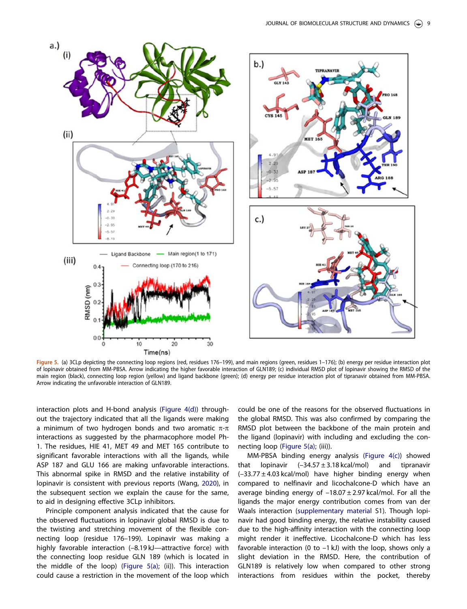

Figure 5. (a) 3CLp depicting the connecting loop regions (red, residues 176–199), and main regions (green, residues 1–176); (b) energy per residue interaction plot of lopinavir obtained from MM-PBSA. Arrow indicating the higher favorable interaction of GLN189; (c) individual RMSD plot of lopinavir showing the RMSD of the main region (black), connecting loop region (yellow) and ligand backbone (green); (d) energy per residue interaction plot of tipranavir obtained from MM-PBSA. Arrow indicating the unfavorable interaction of GLN189.

interaction plots and H-bond analysis (Figure 4(d)) throughout the trajectory indicated that all the ligands were making a minimum of two hydrogen bonds and two aromatic  $\pi$ - $\pi$ interactions as suggested by the pharmacophore model Ph-1. The residues, HIE 41, MET 49 and MET 165 contribute to significant favorable interactions with all the ligands, while ASP 187 and GLU 166 are making unfavorable interactions. This abnormal spike in RMSD and the relative instability of lopinavir is consistent with previous reports (Wang, 2020), in the subsequent section we explain the cause for the same, to aid in designing effective 3CLp inhibitors.

Principle component analysis indicated that the cause for the observed fluctuations in lopinavir global RMSD is due to the twisting and stretching movement of the flexible connecting loop (residue 176–199). Lopinavir was making a highly favorable interaction (-8.19 kJ-attractive force) with the connecting loop residue GLN 189 (which is located in the middle of the loop) (Figure 5(a); (ii)). This interaction could cause a restriction in the movement of the loop which could be one of the reasons for the observed fluctuations in the global RMSD. This was also confirmed by comparing the RMSD plot between the backbone of the main protein and the ligand (lopinavir) with including and excluding the connecting loop (Figure 5(a); (iii)).

MM-PBSA binding energy analysis (Figure 4(c)) showed that lopinavir  $(-34.57 \pm 3.18 \text{ kcal/mol})$  and tipranavir  $(-33.77 \pm 4.03 \text{ kcal/mol})$  have higher binding energy when compared to nelfinavir and licochalcone-D which have an average binding energy of  $-18.07 \pm 2.97$  kcal/mol. For all the ligands the major energy contribution comes from van der Waals interaction (supplementary material S1). Though lopinavir had good binding energy, the relative instability caused due to the high-affinity interaction with the connecting loop might render it ineffective. Licochalcone-D which has less favorable interaction (0 to  $-1$  kJ) with the loop, shows only a slight deviation in the RMSD. Here, the contribution of GLN189 is relatively low when compared to other strong interactions from residues within the pocket, thereby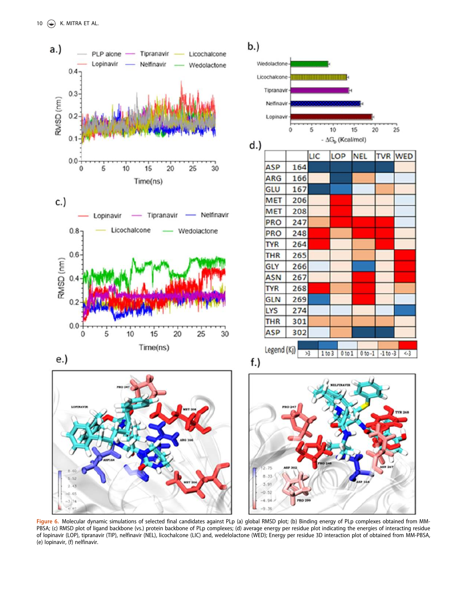

Figure 6. Molecular dynamic simulations of selected final candidates against PLp (a) global RMSD plot; (b) Binding energy of PLp complexes obtained from MM-PBSA; (c) RMSD plot of ligand backbone (vs.) protein backbone of PLp complexes; (d) average energy per residue plot indicating the energies of interacting residue of lopinavir (LOP), tipranavir (TIP), nelfinavir (NEL), licochalcone (LIC) and, wedelolactone (WED); Energy per residue 3D interaction plot of obtained from MM-PBSA, (e) lopinavir, (f) nelfinavir.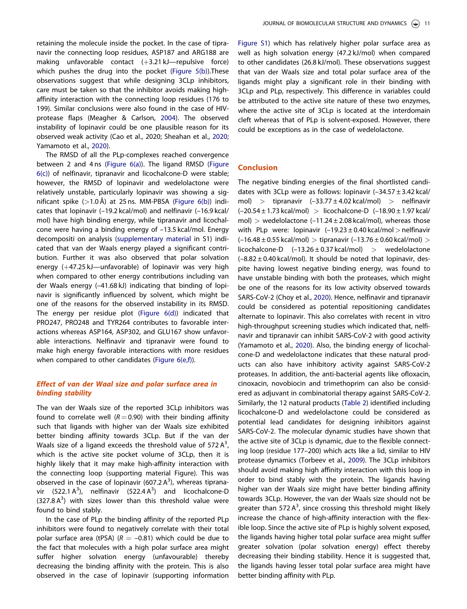retaining the molecule inside the pocket. In the case of tipranavir the connecting loop residues, ASP187 and ARG188 are making unfavorable contact  $(+3.21 \text{ kJ}$ —repulsive force) which pushes the drug into the pocket (Figure 5(b)).These observations suggest that while designing 3CLp inhibitors, care must be taken so that the inhibitor avoids making highaffinity interaction with the connecting loop residues (176 to 199). Similar conclusions were also found in the case of HIVprotease flaps (Meagher & Carlson, 2004). The observed instability of lopinavir could be one plausible reason for its observed weak activity (Cao et al., 2020; Sheahan et al., 2020; Yamamoto et al., 2020).

The RMSD of all the PLp-complexes reached convergence between 2 and 4 ns (Figure 6(a)). The ligand RMSD (Figure 6(c)) of nelfinavir, tipranavir and licochalcone-D were stable; however, the RMSD of lopinavir and wedelolactone were relatively unstable, particularly lopinavir was showing a significant spike  $(>1.0 \text{ Å})$  at 25 ns. MM-PBSA (Figure 6(b)) indicates that lopinavir (–19.2 kcal/mol) and nelfinavir (–16.9 kcal/ mol) have high binding energy, while tipranavir and licochalcone were having a binding energy of –13.5 kcal/mol. Energy decompositi on analysis (supplementary material in S1) indicated that van der Waals energy played a significant contribution. Further it was also observed that polar solvation energy  $(+47.25 \text{ kJ}$ —unfavorable) of lopinavir was very high when compared to other energy contributions including van der Waals energy (–41.68 kJ) indicating that binding of lopinavir is significantly influenced by solvent, which might be one of the reasons for the observed instability in its RMSD. The energy per residue plot (Figure 6(d)) indicated that PRO247, PRO248 and TYR264 contributes to favorable interactions whereas ASP164, ASP302, and GLU167 show unfavorable interactions. Nelfinavir and tipranavir were found to make high energy favorable interactions with more residues when compared to other candidates (Figure 6(e,f)).

# Effect of van der Waal size and polar surface area in binding stability

The van der Waals size of the reported 3CLp inhibitors was found to correlate well  $(R = 0.90)$  with their binding affinity such that ligands with higher van der Waals size exhibited better binding affinity towards 3CLp. But if the van der Waals size of a ligand exceeds the threshold value of 572  $A^3$ , which is the active site pocket volume of 3CLp, then it is highly likely that it may make high-affinity interaction with the connecting loop (supporting material Figure). This was observed in the case of lopinavir (607.2 $A<sup>3</sup>$ ), whereas tipranavir (522.1 $A^3$ ), nelfinavir (522.4 $A^3$ ) and licochalcone-D  $(327.8 \text{ A}^3)$  with sizes lower than this threshold value were found to bind stably.

In the case of PLp the binding affinity of the reported PLp inhibitors were found to negatively correlate with their total polar surface area (tPSA)  $(R = -0.81)$  which could be due to the fact that molecules with a high polar surface area might suffer higher solvation energy (unfavourable) thereby decreasing the binding affinity with the protein. This is also observed in the case of lopinavir (supporting information

Figure S1) which has relatively higher polar surface area as well as high solvation energy (47.2 kJ/mol) when compared to other candidates (26.8 kJ/mol). These observations suggest that van der Waals size and total polar surface area of the ligands might play a significant role in their binding with 3CLp and PLp, respectively. This difference in variables could be attributed to the active site nature of these two enzymes, where the active site of 3CLp is located at the interdomain cleft whereas that of PLp is solvent-exposed. However, there could be exceptions as in the case of wedelolactone.

# Conclusion

The negative binding energies of the final shortlisted candidates with 3CLp were as follows: lopinavir  $(-34.57 \pm 3.42 \text{ kcal})$ mol) > tipranavir  $(-33.77 \pm 4.02 \text{ kcal/mol})$  > nelfinavir  $(-20.54 \pm 1.73 \text{ kcal/mol})$  > licochalcone-D  $(-18.90 \pm 1.97 \text{ kcal/m})$ mol) > wedelolactone  $(-11.24 \pm 2.08 \text{ kcal/mol})$ , whereas those with PLp were: lopinavir  $(-19.23 \pm 0.40 \text{ kcal/mol} > \text{nelfinavit}$  $(-16.48 \pm 0.55 \text{ kcal/mol}) >$  tipranavir  $(-13.76 \pm 0.60 \text{ kcal/mol}) >$ licochalcone-D  $(-13.26 \pm 0.37 \text{ kcal/mol})$  > wedelolactone  $(-8.82 \pm 0.40 \text{ kcal/mol})$ . It should be noted that lopinavir, despite having lowest negative binding energy, was found to have unstable binding with both the proteases, which might be one of the reasons for its low activity observed towards SARS-CoV-2 (Choy et al., 2020). Hence, nelfinavir and tipranavir could be considered as potential repositioning candidates alternate to lopinavir. This also correlates with recent in vitro high-throughput screening studies which indicated that, nelfinavir and tipranavir can inhibit SARS-CoV-2 with good activity (Yamamoto et al., 2020). Also, the binding energy of licochalcone-D and wedelolactone indicates that these natural products can also have inhibitory activity against SARS-CoV-2 proteases. In addition, the anti-bacterial agents like ofloxacin, cinoxacin, novobiocin and trimethoprim can also be considered as adjuvant in combinatorial therapy against SARS-CoV-2. Similarly, the 12 natural products (Table 2) identified including licochalcone-D and wedelolactone could be considered as potential lead candidates for designing inhibitors against SARS-CoV-2. The molecular dynamic studies have shown that the active site of 3CLp is dynamic, due to the flexible connecting loop (residue 177–200) which acts like a lid, similar to HIV protease dynamics (Torbeev et al., 2009). The 3CLp inhibitors should avoid making high affinity interaction with this loop in order to bind stably with the protein. The ligands having higher van der Waals size might have better binding affinity towards 3CLp. However, the van der Waals size should not be greater than 572  $A^3$ , since crossing this threshold might likely increase the chance of high-affinity interaction with the flexible loop. Since the active site of PLp is highly solvent exposed, the ligands having higher total polar surface area might suffer greater solvation (polar solvation energy) effect thereby decreasing their binding stability. Hence it is suggested that, the ligands having lesser total polar surface area might have better binding affinity with PLp.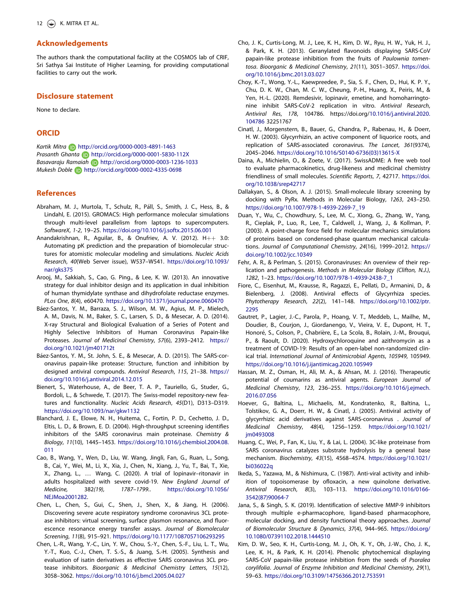# Acknowledgements

The authors thank the computational facility at the COSMOS lab of CRIF, Sri Sathya Sai Institute of Higher Learning, for providing computational facilities to carry out the work.

# Disclosure statement

None to declare.

# **ORCID**

*Kartik Mitra* **b** http://orcid.org/0000-0003-4891-1463 *Prasanth Ghanta* http://orcid.org/0000-0001-5830-112X *Basavaraju Ramaiah* http://orcid.org/0000-0003-1236-1033 *Mukesh Doble* http://orcid.org/0000-0002-4335-0698

## References

- Abraham, M. J., Murtola, T., Schulz, R., Páll, S., Smith, J. C., Hess, B., & Lindahl, E. (2015). GROMACS: High performance molecular simulations through multi-level parallelism from laptops to supercomputers. *SoftwareX*, *1-2*, 19–25. https://doi.org/10.1016/j.softx.2015.06.001
- Anandakrishnan, R., Aguilar, B., & Onufriev, A. V. (2012).  $H++3.0$ : Automating pK prediction and the preparation of biomolecular structures for atomistic molecular modeling and simulations. *Nucleic Acids Research*, *40*(Web Server issue), W537–W541. https://doi.org/10.1093/ nar/gks375
- Arooj, M., Sakkiah, S., Cao, G. Ping., & Lee, K. W. (2013). An innovative strategy for dual inhibitor design and its application in dual inhibition of human thymidylate synthase and dihydrofolate reductase enzymes. *PLos One*, *8*(4), e60470. https://doi.org/10.1371/journal.pone.0060470
- Báez-Santos, Y. M., Barraza, S. J., Wilson, M. W., Agius, M. P., Mielech, A. M., Davis, N. M., Baker, S. C., Larsen, S. D., & Mesecar, A. D. (2014). X-ray Structural and Biological Evaluation of a Series of Potent and Highly Selective Inhibitors of Human Coronavirus Papain-like Proteases. *Journal of Medicinal Chemistry*, *57*(6), 2393–2412. https:// doi.org/10.1021/jm401712t
- Báez-Santos, Y. M., St. John, S. E., & Mesecar, A. D. (2015). The SARS-coronavirus papain-like protease: Structure, function and inhibition by designed antiviral compounds. *Antiviral Research*, *115*, 21–38. https:// doi.org/10.1016/j.antiviral.2014.12.015
- Bienert, S., Waterhouse, A., de Beer, T. A. P., Tauriello, G., Studer, G., Bordoli, L., & Schwede, T. (2017). The Swiss-model repository-new features and functionality. *Nucleic Acids Research*, *45*(D1), D313–D319. https://doi.org/10.1093/nar/gkw1132
- Blanchard, J. E., Elowe, N. H., Huitema, C., Fortin, P. D., Cechetto, J. D., Eltis, L. D., & Brown, E. D. (2004). High-throughput screening identifies inhibitors of the SARS coronavirus main proteinase. *Chemistry & Biology*, *11*(10), 1445–1453. https://doi.org/10.1016/j.chembiol.2004.08. 011
- Cao, B., Wang, Y., Wen, D., Liu, W. Wang, Jingli, Fan, G., Ruan, L., Song, B., Cai, Y., Wei, M., Li, X., Xia, J., Chen, N., Xiang, J., Yu, T., Bai, T., Xie, X., Zhang, L., … Wang, C. (2020). A trial of lopinavir–ritonavir in adults hospitalized with severe covid-19. *New England Journal of Medicine,* 382*(19), 1787*–*1799.*. https://doi.org/10.1056/ NEJMoa2001282.
- Chen, L., Chen, S., Gui, C., Shen, J., Shen, X., & Jiang, H. (2006). Discovering severe acute respiratory syndrome coronavirus 3CL protease inhibitors: virtual screening, surface plasmon resonance, and fluorescence resonance energy transfer assays. *Journal of Biomolecular Screening*, *11*(8), 915–921. https://doi.org/10.1177/1087057106293295
- Chen, L.-R., Wang, Y.-C., Lin, Y. W., Chou, S.-Y., Chen, S.-F., Liu, L. T., Wu, Y.-T., Kuo, C.-J., Chen, T. S.-S., & Juang, S.-H. (2005). Synthesis and evaluation of isatin derivatives as effective SARS coronavirus 3CL protease inhibitors. *Bioorganic & Medicinal Chemistry Letters*, *15*(12), 3058–3062. https://doi.org/10.1016/j.bmcl.2005.04.027
- Cho, J. K., Curtis-Long, M. J., Lee, K. H., Kim, D. W., Ryu, H. W., Yuk, H. J., & Park, K. H. (2013). Geranylated flavonoids displaying SARS-CoV papain-like protease inhibition from the fruits of *Paulownia tomentosa*. *Bioorganic & Medicinal Chemistry*, *21*(11), 3051–3057. https://doi. org/10.1016/j.bmc.2013.03.027
- Choy, K.-T., Wong, Y.-L., Kaewpreedee, P., Sia, S. F., Chen, D., Hui, K. P. Y., Chu, D. K. W., Chan, M. C. W., Cheung, P.-H., Huang, X., Peiris, M., & Yen, H.-L. (2020). Remdesivir, lopinavir, emetine, and homoharringtonine inhibit SARS-CoV-2 replication in vitro. *Antiviral Research*, *Antiviral Res*, *178*, 104786. https://doi.org/10.1016/j.antiviral.2020. 104786 32251767
- Cinatl, J., Morgenstern, B., Bauer, G., Chandra, P., Rabenau, H., & Doerr, H. W. (2003). Glycyrrhizin, an active component of liquorice roots, and replication of SARS-associated coronavirus. *The Lancet*, *361*(9374), 2045–2046. https://doi.org/10.1016/S0140-6736(03)13615-X
- Daina, A., Michielin, O., & Zoete, V. (2017). SwissADME: A free web tool to evaluate pharmacokinetics, drug-likeness and medicinal chemistry friendliness of small molecules. *Scientific Reports*, *7*, 42717. https://doi. org/10.1038/srep42717
- Dallakyan, S., & Olson, A. J. (2015). Small-molecule library screening by docking with PyRx*.* Methods in Molecular Biology, *1263*, 243–250. https://doi.org/10.1007/978-1-4939-2269-7\_19
- Duan, Y., Wu, C., Chowdhury, S., Lee, M. C., Xiong, G., Zhang, W., Yang, R., Cieplak, P., Luo, R., Lee, T., Caldwell, J., Wang, J., & Kollman, P. (2003). A point-charge force field for molecular mechanics simulations of proteins based on condensed-phase quantum mechanical calculations. *Journal of Computational Chemistry*, *24*(16), 1999–2012. https:// doi.org/10.1002/jcc.10349
- Fehr, A. R., & Perlman, S. (2015). Coronaviruses: An overview of their replication and pathogenesis. *Methods in Molecular Biology (Clifton, N.J.)*, *1282*, 1–23. https://doi.org/10.1007/978-1-4939-2438-7\_1
- Fiore, C., Eisenhut, M., Krausse, R., Ragazzi, E., Pellati, D., Armanini, D., & Bielenberg, J. (2008). Antiviral effects of Glycyrrhiza species. *Phytotherapy Research*, *22*(2), 141–148. https://doi.org/10.1002/ptr. 2295
- Gautret, P., Lagier, J.-C., Parola, P., Hoang, V. T., Meddeb, L., Mailhe, M., Doudier, B., Courjon, J., Giordanengo, V., Vieira, V. E., Dupont, H. T., Honoré, S., Colson, P., Chabrière, E., La Scola, B., Rolain, J.-M., Brouqui, P., & Raoult, D. (2020). Hydroxychloroquine and azithromycin as a treatment of COVID-19: Results of an open-label non-randomized clinical trial. *International Journal of Antimicrobial Agents*, *105949*, 105949. https://doi.org/10.1016/j.ijantimicag.2020.105949
- Hassan, M. Z., Osman, H., Ali, M. A., & Ahsan, M. J. (2016). Therapeutic potential of coumarins as antiviral agents. *European Journal of Medicinal Chemistry*, *123*, 236–255. https://doi.org/10.1016/j.ejmech. 2016.07.056
- Hoever, G., Baltina, L., Michaelis, M., Kondratenko, R., Baltina, L., Tolstikov, G. A., Doerr, H. W., & Cinatl, J. (2005). Antiviral activity of glycyrrhizic acid derivatives against SARS-coronavirus . *Journal of Medicinal Chemistry*, *48*(4), 1256–1259. https://doi.org/10.1021/ im0493008
- Huang, C., Wei, P., Fan, K., Liu, Y., & Lai, L. (2004). 3C-like proteinase from SARS coronavirus catalyzes substrate hydrolysis by a general base mechanism. *Biochemistry*, *43*(15), 4568–4574. https://doi.org/10.1021/ bi036022q
- Ikeda, S., Yazawa, M., & Nishimura, C. (1987). Anti-viral activity and inhibition of topoisomerase by ofloxacin, a new quinolone derivative. *Antiviral Research*, *8*(3), 103–113. https://doi.org/10.1016/0166- 3542(87)90064-7
- Jana, S., & Singh, S. K. (2019). Identification of selective MMP-9 inhibitors through multiple e-pharmacophore, ligand-based pharmacophore, molecular docking, and density functional theory approaches. *Journal of Biomolecular Structure & Dynamics*, *37*(4), 944–965. https://doi.org/ 10.1080/07391102.2018.1444510
- Kim, D. W., Seo, K. H., Curtis-Long, M. J., Oh, K. Y., Oh, J.-W., Cho, J. K., Lee, K. H., & Park, K. H. (2014). Phenolic phytochemical displaying SARS-CoV papain-like protease inhibition from the seeds of *Psoralea corylifolia*. *Journal of Enzyme Inhibition and Medicinal Chemistry*, *29*(1), 59–63. https://doi.org/10.3109/14756366.2012.753591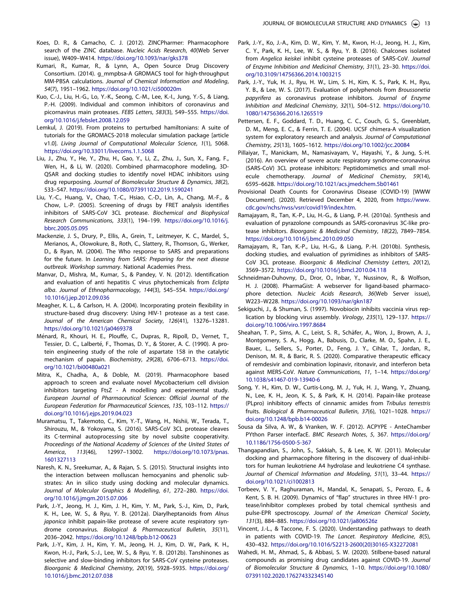- Koes, D. R., & Camacho, C. J. (2012). ZINCPharmer: Pharmacophore search of the ZINC database. *Nucleic Acids Research*, *40*(Web Server issue), W409–W414. https://doi.org/10.1093/nar/gks378
- Kumari, R., Kumar, R., & Lynn, A., Open Source Drug Discovery Consortium. (2014). g\_mmpbsa-A GROMACS tool for high-throughput MM-PBSA calculations. *Journal of Chemical Information and Modeling*, *54*(7), 1951–1962. https://doi.org/10.1021/ci500020m
- Kuo, C.-J., Liu, H.-G., Lo, Y.-K., Seong, C.-M., Lee, K.-I., Jung, Y.-S., & Liang, P.-H. (2009). Individual and common inhibitors of coronavirus and picornavirus main proteases. *FEBS Letters*, *583*(3), 549–555. https://doi. org/10.1016/j.febslet.2008.12.059
- Lemkul, J. (2019). From proteins to perturbed hamiltonians: A suite of tutorials for the GROMACS-2018 molecular simulation package [article v1.0]. *Living Journal of Computational Molecular Science*, *1*(1), 5068. https://doi.org/10.33011/livecoms.1.1.5068
- Liu, J., Zhu, Y., He, Y., Zhu, H., Gao, Y., Li, Z., Zhu, J., Sun, X., Fang, F., Wen, H., & Li, W. (2020). Combined pharmacophore modeling, 3D-QSAR and docking studies to identify novel HDAC inhibitors using drug repurposing. *Journal of Biomolecular Structure & Dynamics*, *38*(2), 533–547. https://doi.org/10.1080/07391102.2019.1590241
- Liu, Y.-C., Huang, V., Chao, T.-C., Hsiao, C.-D., Lin, A., Chang, M.-F., & Chow, L.-P. (2005). Screening of drugs by FRET analysis identifies inhibitors of SARS-CoV 3CL protease. *Biochemical and Biophysical Research Communications*, *333*(1), 194–199. https://doi.org/10.1016/j. bbrc.2005.05.095
- Mackenzie, J. S., Drury, P., Ellis, A., Grein, T., Leitmeyer, K. C., Mardel, S., Merianos, A., Olowokure, B., Roth, C., Slattery, R., Thomson, G., Werker, D., & Ryan, M. (2004). The Who response to SARS and preparations for the future. In *Learning from SARS: Preparing for the next disease outbreak. Workshop summary*. National Academies Press.
- Manvar, D., Mishra, M., Kumar, S., & Pandey, V. N. (2012). Identification and evaluation of anti hepatitis C virus phytochemicals from *Eclipta alba*. *Journal of Ethnopharmacology*, *144*(3), 545–554. https://doi.org/ 10.1016/j.jep.2012.09.036
- Meagher, K. L., & Carlson, H. A. (2004). Incorporating protein flexibility in structure-based drug discovery: Using HIV-1 protease as a test case. *Journal of the American Chemical Society*, *126*(41), 13276–13281. https://doi.org/10.1021/ja0469378
- Ménard, R., Khouri, H. E., Plouffe, C., Dupras, R., Ripoll, D., Vernet, T., Tessier, D. C., Lalberté, F., Thomas, D. Y., & Storer, A. C. (1990). A protein engineering study of the role of aspartate 158 in the catalytic mechanism of papain. *Biochemistry*, *29*(28), 6706–6713. https://doi. org/10.1021/bi00480a021
- Mitra, K., Chadha, A., & Doble, M. (2019). Pharmacophore based approach to screen and evaluate novel Mycobacterium cell division inhibitors targeting FtsZ - A modelling and experimental study. *European Journal of Pharmaceutical Sciences: Official Journal of the European Federation for Pharmaceutical Sciences*, *135*, 103–112. https:// doi.org/10.1016/j.ejps.2019.04.023
- Muramatsu, T., Takemoto, C., Kim, Y.-T., Wang, H., Nishii, W., Terada, T., Shirouzu, M., & Yokoyama, S. (2016). SARS-CoV 3CL protease cleaves its C-terminal autoprocessing site by novel subsite cooperativity. *Proceedings of the National Academy of Sciences of the United States of America*, *113*(46), 12997–13002. https://doi.org/10.1073/pnas. 1601327113
- Naresh, K. N., Sreekumar, A., & Rajan, S. S. (2015). Structural insights into the interaction between molluscan hemocyanins and phenolic substrates: An in silico study using docking and molecular dynamics. *Journal of Molecular Graphics & Modelling*, *61*, 272–280. https://doi. org/10.1016/j.jmgm.2015.07.006
- Park, J.-Y., Jeong, H. J., Kim, J. H., Kim, Y. M., Park, S.-J., Kim, D., Park, K. H., Lee, W. S., & Ryu, Y. B. (2012a). Diarylheptanoids from *Alnus japonica* inhibit papain-like protease of severe acute respiratory syndrome coronavirus. *Biological & Pharmaceutical Bulletin*, *35*(11), 2036–2042. https://doi.org/10.1248/bpb.b12-00623
- Park, J.-Y., Kim, J. H., Kim, Y. M., Jeong, H. J., Kim, D. W., Park, K. H., Kwon, H.-J., Park, S.-J., Lee, W. S., & Ryu, Y. B. (2012b). Tanshinones as selective and slow-binding inhibitors for SARS-CoV cysteine proteases. *Bioorganic & Medicinal Chemistry*, *20*(19), 5928–5935. https://doi.org/ 10.1016/j.bmc.2012.07.038
- Park, J.-Y., Ko, J.-A., Kim, D. W., Kim, Y. M., Kwon, H.-J., Jeong, H. J., Kim, C. Y., Park, K. H., Lee, W. S., & Ryu, Y. B. (2016). Chalcones isolated from *Angelica keiskei* inhibit cysteine proteases of SARS-CoV. *Journal of Enzyme Inhibition and Medicinal Chemistry*, *31*(1), 23–30. https://doi. org/10.3109/14756366.2014.1003215
- Park, J.-Y., Yuk, H. J., Ryu, H. W., Lim, S. H., Kim, K. S., Park, K. H., Ryu, Y. B., & Lee, W. S. (2017). Evaluation of polyphenols from *Broussonetia papyrifera* as coronavirus protease inhibitors. *Journal of Enzyme Inhibition and Medicinal Chemistry*, *32*(1), 504–512. https://doi.org/10. 1080/14756366.2016.1265519
- Pettersen, E. F., Goddard, T. D., Huang, C. C., Couch, G. S., Greenblatt, D. M., Meng, E. C., & Ferrin, T. E. (2004). UCSF chimera-A visualization system for exploratory research and analysis. *Journal of Computational Chemistry*, *25*(13), 1605–1612. https://doi.org/10.1002/jcc.20084
- Pillaiyar, T., Manickam, M., Namasivayam, V., Hayashi, Y., & Jung, S.-H. (2016). An overview of severe acute respiratory syndrome-coronavirus (SARS-CoV) 3CL protease inhibitors: Peptidomimetics and small molecule chemotherapy. *Journal of Medicinal Chemistry*, *59*(14), 6595–6628. https://doi.org/10.1021/acs.jmedchem.5b01461
- Provisional Death Counts for Coronavirus Disease (COVID-19) [WWW Document]. (2020). Retrieved December 4, 2020, from https://www. cdc.gov/nchs/nvss/vsrr/covid19/index.htm.
- Ramajayam, R., Tan, K.-P., Liu, H.-G., & Liang, P.-H. (2010a). Synthesis and evaluation of pyrazolone compounds as SARS-coronavirus 3C-like protease inhibitors. *Bioorganic & Medicinal Chemistry*, *18*(22), 7849–7854. https://doi.org/10.1016/j.bmc.2010.09.050
- Ramajayam, R., Tan, K.-P., Liu, H.-G., & Liang, P.-H. (2010b). Synthesis, docking studies, and evaluation of pyrimidines as inhibitors of SARS-CoV 3CL protease. *Bioorganic & Medicinal Chemistry Letters*, *20*(12), 3569–3572. https://doi.org/10.1016/j.bmcl.2010.04.118
- Schneidman-Duhovny, D., Dror, O., Inbar, Y., Nussinov, R., & Wolfson, H. J. (2008). PharmaGist: A webserver for ligand-based pharmacophore detection. *Nucleic Acids Research*, *36*(Web Server issue), W223–W228. https://doi.org/10.1093/nar/gkn187
- Sekiguchi, J., & Shuman, S. (1997). Novobiocin inhibits vaccinia virus replication by blocking virus assembly. *Virology*, *235*(1), 129–137. https:// doi.org/10.1006/viro.1997.8684
- Sheahan, T. P., Sims, A. C., Leist, S. R., Schäfer, A., Won, J., Brown, A. J., Montgomery, S. A., Hogg, A., Babusis, D., Clarke, M. O., Spahn, J. E., Bauer, L., Sellers, S., Porter, D., Feng, J. Y., Cihlar, T., Jordan, R., Denison, M. R., & Baric, R. S. (2020). Comparative therapeutic efficacy of remdesivir and combination lopinavir, ritonavir, and interferon beta against MERS-CoV. *Nature Communications*, *11*, 1–14. https://doi.org/ 10.1038/s41467-019-13940-6
- Song, Y. H., Kim, D. W., Curtis-Long, M. J., Yuk, H. J., Wang, Y., Zhuang, N., Lee, K. H., Jeon, K. S., & Park, K. H. (2014). Papain-like protease (PLpro) inhibitory effects of cinnamic amides from *Tribulus terrestris* fruits. *Biological & Pharmaceutical Bulletin*, *37*(6), 1021–1028. https:// doi.org/10.1248/bpb.b14-00026
- Sousa da Silva, A. W., & Vranken, W. F. (2012). ACPYPE AnteChamber PYthon Parser interfacE. *BMC Research Notes*, *5*, 367. https://doi.org/ 10.1186/1756-0500-5-367
- Thangapandian, S., John, S., Sakkiah, S., & Lee, K. W. (2011). Molecular docking and pharmacophore filtering in the discovery of dual-inhibitors for human leukotriene A4 hydrolase and leukotriene C4 synthase. *Journal of Chemical Information and Modeling*, *51*(1), 33–44. https:// doi.org/10.1021/ci1002813
- Torbeev, V. Y., Raghuraman, H., Mandal, K., Senapati, S., Perozo, E., & Kent, S. B. H. (2009). Dynamics of "flap" structures in three HIV-1 protease/inhibitor complexes probed by total chemical synthesis and pulse-EPR spectroscopy. *Journal of the American Chemical Society*, *131*(3), 884–885. https://doi.org/10.1021/ja806526z
- Vincent, J.-L., & Taccone, F. S. (2020). Understanding pathways to death in patients with COVID-19. *The Lancet. Respiratory Medicine*, *8*(5), 430–432. https://doi.org/10.1016/S2213-2600(20)30165-X32272081
- Wahedi, H. M., Ahmad, S., & Abbasi, S. W. (2020). Stilbene-based natural compounds as promising drug candidates against COVID-19. *Journal of Biomolecular Structure & Dynamics*, 1–10. https://doi.org/10.1080/ 07391102.2020.176274332345140